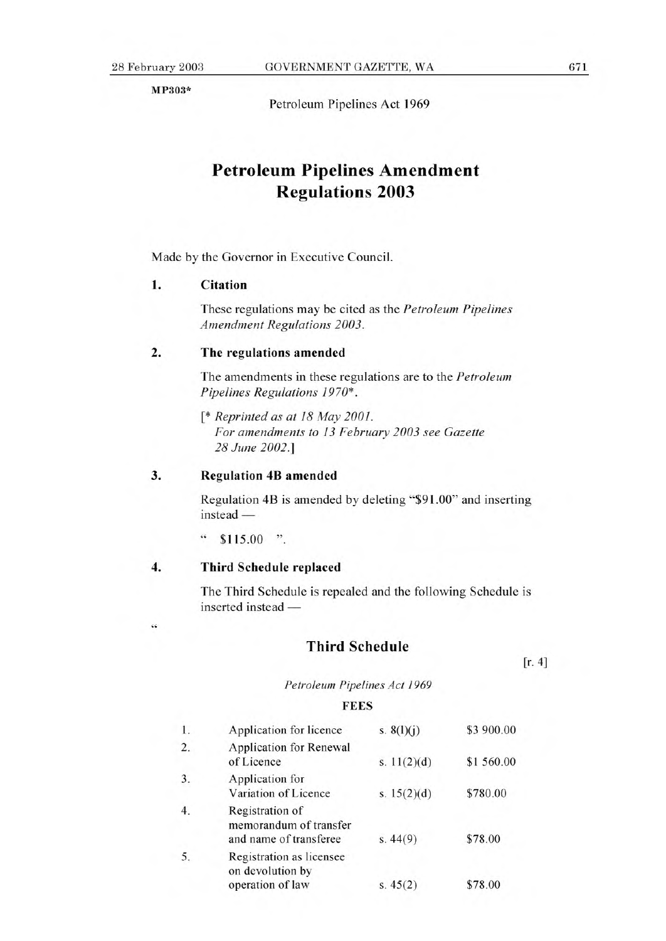**MP303\*** 

Petroleum Pipelines Act 1969

# **Petroleum Pipelines Amendment Regulations 2003**

Made by the Governor in Executive Council.

#### **1. Citation**

These regulations may be cited as the *Petroleum Pipelines Amendment Regulations 2003.* 

#### **2. The regulations amended**

The amendments in these regulations are to the *Petroleum Pipelines Regulations 1970\*.* 

*[\* Reprinted as at 18 May 2001. For amendments to 13 February 2003 see Gazette 28 June 2002.]* 

## **3. Regulation 4B amended**

Regulation 4B is amended by deleting "\$91.00" and inserting instead —

" \$115.00 ".

## **4. Third Schedule** replaced

44

The Third Schedule is repealed and the following Schedule is inserted instead

## **Third Schedule**

 $[r. 4]$ 

*Petroleum Pipelines Act 1969* 

#### **FEES**

| 1.               | Application for licence                                             | s. $8(l)(j)$  | \$3 900.00 |
|------------------|---------------------------------------------------------------------|---------------|------------|
| 2.               | <b>Application for Renewal</b><br>of Licence                        | s. $11(2)(d)$ | \$1 560.00 |
| 3.               | Application for<br>Variation of Licence                             | s. $15(2)(d)$ | \$780.00   |
| $\overline{4}$ . | Registration of<br>memorandum of transfer<br>and name of transferee | s.44(9)       | \$78.00    |
| 5.               | Registration as licensee<br>on devolution by<br>operation of law    | s. $45(2)$    | \$78.00    |